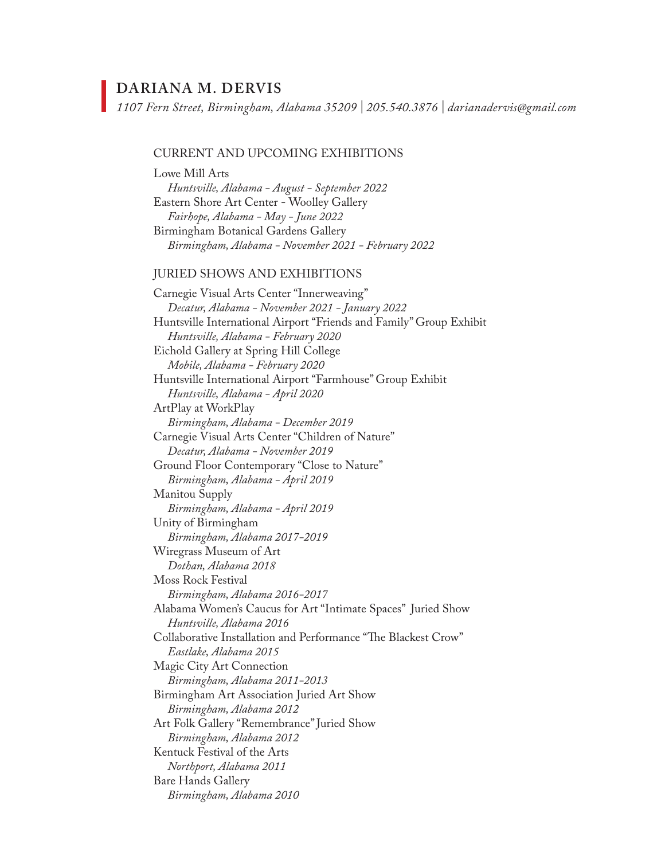# **DARIANA M. DERVIS**

*1107 Fern Street, Birmingham, Alabama 35209 | 205.540.3876 | darianadervis@gmail.com*

#### CURRENT AND UPCOMING EXHIBITIONS

Lowe Mill Arts *Huntsville, Alabama - August - September 2022*  Eastern Shore Art Center - Woolley Gallery *Fairhope, Alabama - May - June 2022*  Birmingham Botanical Gardens Gallery *Birmingham, Alabama - November 2021 - February 2022*

#### JURIED SHOWS AND EXHIBITIONS

Carnegie Visual Arts Center "Innerweaving" *Decatur, Alabama - November 2021 - January 2022* Huntsville International Airport "Friends and Family" Group Exhibit *Huntsville, Alabama - February 2020*  Eichold Gallery at Spring Hill College *Mobile, Alabama - February 2020*  Huntsville International Airport "Farmhouse" Group Exhibit *Huntsville, Alabama - April 2020* ArtPlay at WorkPlay *Birmingham, Alabama - December 2019*  Carnegie Visual Arts Center "Children of Nature" *Decatur, Alabama - November 2019* Ground Floor Contemporary "Close to Nature" *Birmingham, Alabama - April 2019* Manitou Supply *Birmingham, Alabama - April 2019* Unity of Birmingham *Birmingham, Alabama 2017-2019* Wiregrass Museum of Art *Dothan, Alabama 2018* Moss Rock Festival *Birmingham, Alabama 2016-2017* Alabama Women's Caucus for Art "Intimate Spaces" Juried Show *Huntsville, Alabama 2016* Collaborative Installation and Performance "The Blackest Crow" *Eastlake, Alabama 2015* Magic City Art Connection *Birmingham, Alabama 2011-2013* Birmingham Art Association Juried Art Show *Birmingham, Alabama 2012* Art Folk Gallery "Remembrance" Juried Show *Birmingham, Alabama 2012* Kentuck Festival of the Arts *Northport, Alabama 2011* Bare Hands Gallery *Birmingham, Alabama 2010*